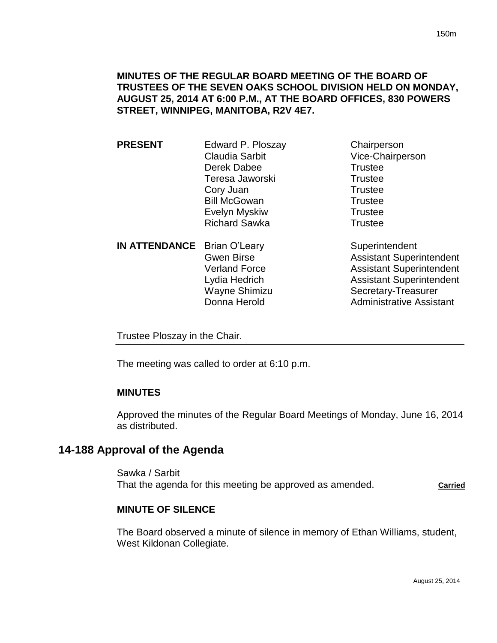## **MINUTES OF THE REGULAR BOARD MEETING OF THE BOARD OF TRUSTEES OF THE SEVEN OAKS SCHOOL DIVISION HELD ON MONDAY, AUGUST 25, 2014 AT 6:00 P.M., AT THE BOARD OFFICES, 830 POWERS STREET, WINNIPEG, MANITOBA, R2V 4E7.**

**PRESENT** Edward P. Ploszay Chairperson Claudia Sarbit Vice-Chairperson Derek Dabee Trustee Teresa Jaworski **Trustee** Cory Juan Trustee Bill McGowan Trustee Evelyn Myskiw **Trustee** Richard Sawka Trustee **IN ATTENDANCE** Brian O'Leary Superintendent Gwen Birse **Assistant Superintendent** 

Verland Force **Assistant Superintendent** Lydia Hedrich **Assistant Superintendent** Wayne Shimizu Secretary-Treasurer Donna Herold **Administrative Assistant** 

Trustee Ploszay in the Chair.

The meeting was called to order at 6:10 p.m.

## **MINUTES**

Approved the minutes of the Regular Board Meetings of Monday, June 16, 2014 as distributed.

# **14-188 Approval of the Agenda**

Sawka / Sarbit That the agenda for this meeting be approved as amended. **Carried**

## **MINUTE OF SILENCE**

The Board observed a minute of silence in memory of Ethan Williams, student, West Kildonan Collegiate.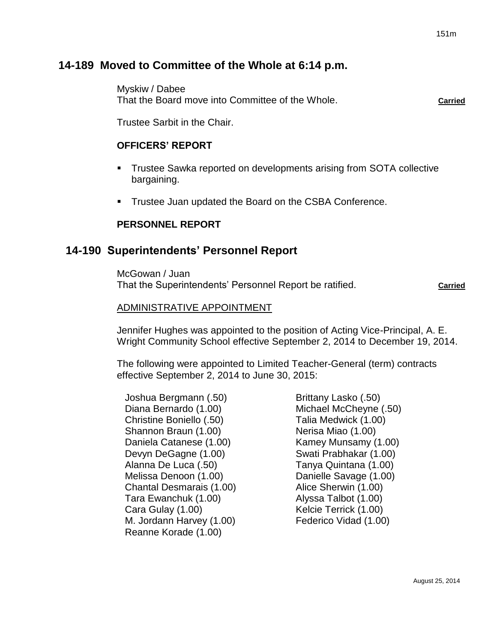# **14-189 Moved to Committee of the Whole at 6:14 p.m.**

Myskiw / Dabee That the Board move into Committee of the Whole. **Carried**

Trustee Sarbit in the Chair.

## **OFFICERS' REPORT**

- **Trustee Sawka reported on developments arising from SOTA collective** bargaining.
- Trustee Juan updated the Board on the CSBA Conference.

## **PERSONNEL REPORT**

# **14-190 Superintendents' Personnel Report**

McGowan / Juan That the Superintendents' Personnel Report be ratified. **Carried** Carried

## ADMINISTRATIVE APPOINTMENT

Jennifer Hughes was appointed to the position of Acting Vice-Principal, A. E. Wright Community School effective September 2, 2014 to December 19, 2014.

The following were appointed to Limited Teacher-General (term) contracts effective September 2, 2014 to June 30, 2015:

Joshua Bergmann (.50) Diana Bernardo (1.00) Christine Boniello (.50) Shannon Braun (1.00) Daniela Catanese (1.00) Devyn DeGagne (1.00) Alanna De Luca (.50) Melissa Denoon (1.00) Chantal Desmarais (1.00) Tara Ewanchuk (1.00) Cara Gulay (1.00) M. Jordann Harvey (1.00) Reanne Korade (1.00)

Brittany Lasko (.50) Michael McCheyne (.50) Talia Medwick (1.00) Nerisa Miao (1.00) Kamey Munsamy (1.00) Swati Prabhakar (1.00) Tanya Quintana (1.00) Danielle Savage (1.00) Alice Sherwin (1.00) Alyssa Talbot (1.00) Kelcie Terrick (1.00) Federico Vidad (1.00)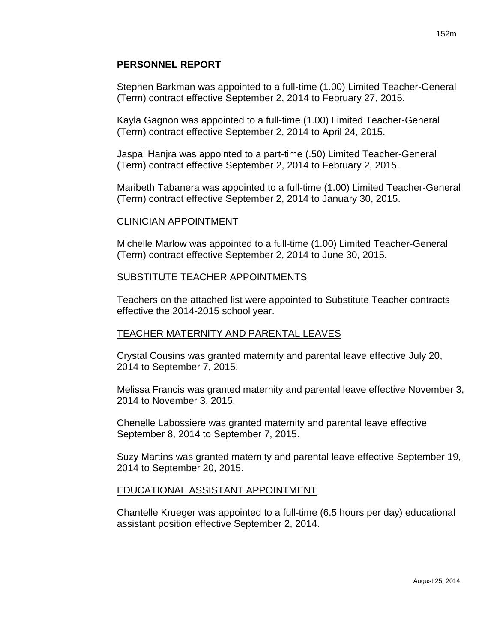## **PERSONNEL REPORT**

Stephen Barkman was appointed to a full-time (1.00) Limited Teacher-General (Term) contract effective September 2, 2014 to February 27, 2015.

Kayla Gagnon was appointed to a full-time (1.00) Limited Teacher-General (Term) contract effective September 2, 2014 to April 24, 2015.

Jaspal Hanjra was appointed to a part-time (.50) Limited Teacher-General (Term) contract effective September 2, 2014 to February 2, 2015.

Maribeth Tabanera was appointed to a full-time (1.00) Limited Teacher-General (Term) contract effective September 2, 2014 to January 30, 2015.

## CLINICIAN APPOINTMENT

Michelle Marlow was appointed to a full-time (1.00) Limited Teacher-General (Term) contract effective September 2, 2014 to June 30, 2015.

### SUBSTITUTE TEACHER APPOINTMENTS

Teachers on the attached list were appointed to Substitute Teacher contracts effective the 2014-2015 school year.

## TEACHER MATERNITY AND PARENTAL LEAVES

Crystal Cousins was granted maternity and parental leave effective July 20, 2014 to September 7, 2015.

Melissa Francis was granted maternity and parental leave effective November 3, 2014 to November 3, 2015.

Chenelle Labossiere was granted maternity and parental leave effective September 8, 2014 to September 7, 2015.

Suzy Martins was granted maternity and parental leave effective September 19, 2014 to September 20, 2015.

## EDUCATIONAL ASSISTANT APPOINTMENT

Chantelle Krueger was appointed to a full-time (6.5 hours per day) educational assistant position effective September 2, 2014.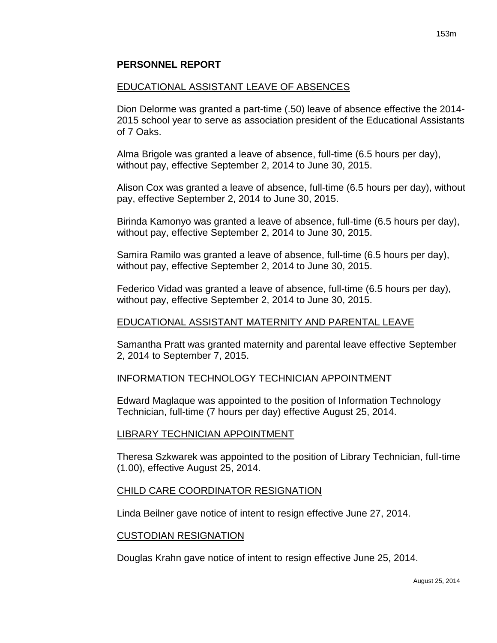### **PERSONNEL REPORT**

#### EDUCATIONAL ASSISTANT LEAVE OF ABSENCES

Dion Delorme was granted a part-time (.50) leave of absence effective the 2014- 2015 school year to serve as association president of the Educational Assistants of 7 Oaks.

Alma Brigole was granted a leave of absence, full-time (6.5 hours per day), without pay, effective September 2, 2014 to June 30, 2015.

Alison Cox was granted a leave of absence, full-time (6.5 hours per day), without pay, effective September 2, 2014 to June 30, 2015.

Birinda Kamonyo was granted a leave of absence, full-time (6.5 hours per day), without pay, effective September 2, 2014 to June 30, 2015.

Samira Ramilo was granted a leave of absence, full-time (6.5 hours per day), without pay, effective September 2, 2014 to June 30, 2015.

Federico Vidad was granted a leave of absence, full-time (6.5 hours per day), without pay, effective September 2, 2014 to June 30, 2015.

#### EDUCATIONAL ASSISTANT MATERNITY AND PARENTAL LEAVE

Samantha Pratt was granted maternity and parental leave effective September 2, 2014 to September 7, 2015.

#### INFORMATION TECHNOLOGY TECHNICIAN APPOINTMENT

Edward Maglaque was appointed to the position of Information Technology Technician, full-time (7 hours per day) effective August 25, 2014.

#### LIBRARY TECHNICIAN APPOINTMENT

Theresa Szkwarek was appointed to the position of Library Technician, full-time (1.00), effective August 25, 2014.

#### CHILD CARE COORDINATOR RESIGNATION

Linda Beilner gave notice of intent to resign effective June 27, 2014.

#### CUSTODIAN RESIGNATION

Douglas Krahn gave notice of intent to resign effective June 25, 2014.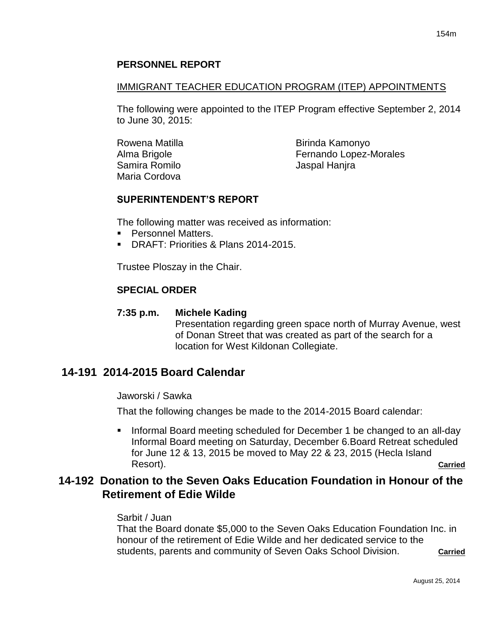## **PERSONNEL REPORT**

## IMMIGRANT TEACHER EDUCATION PROGRAM (ITEP) APPOINTMENTS

The following were appointed to the ITEP Program effective September 2, 2014 to June 30, 2015:

Rowena Matilla Alma Brigole Samira Romilo Maria Cordova

Birinda Kamonyo Fernando Lopez-Morales Jaspal Hanjra

## **SUPERINTENDENT'S REPORT**

The following matter was received as information:

- **Personnel Matters.**
- DRAFT: Priorities & Plans 2014-2015.

Trustee Ploszay in the Chair.

## **SPECIAL ORDER**

## **7:35 p.m. Michele Kading**

Presentation regarding green space north of Murray Avenue, west of Donan Street that was created as part of the search for a location for West Kildonan Collegiate.

# **14-191 2014-2015 Board Calendar**

Jaworski / Sawka

That the following changes be made to the 2014-2015 Board calendar:

Informal Board meeting scheduled for December 1 be changed to an all-day Informal Board meeting on Saturday, December 6.Board Retreat scheduled for June 12 & 13, 2015 be moved to May 22 & 23, 2015 (Hecla Island Resort). **Carried**

# **14-192 Donation to the Seven Oaks Education Foundation in Honour of the Retirement of Edie Wilde**

## Sarbit / Juan

That the Board donate \$5,000 to the Seven Oaks Education Foundation Inc. in honour of the retirement of Edie Wilde and her dedicated service to the students, parents and community of Seven Oaks School Division. **Carried**

August 25, 2014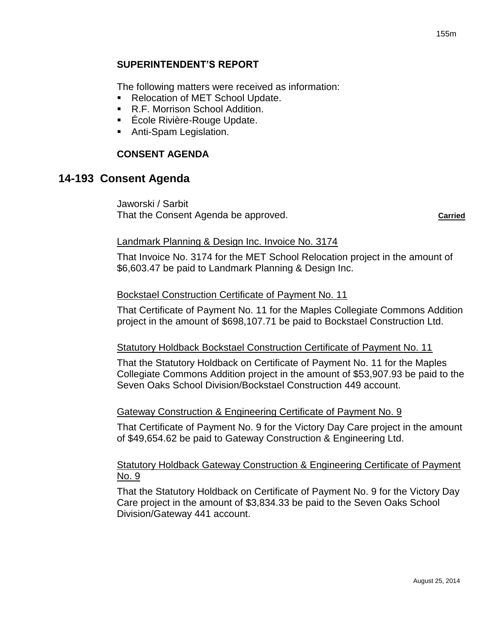## **SUPERINTENDENT'S REPORT**

The following matters were received as information:

- Relocation of MET School Update.
- R.F. Morrison School Addition.
- École Rivière-Rouge Update.
- **Anti-Spam Legislation.**

## **CONSENT AGENDA**

## **14-193 Consent Agenda**

Jaworski / Sarbit That the Consent Agenda be approved. **Carried**

### Landmark Planning & Design Inc. Invoice No. 3174

That Invoice No. 3174 for the MET School Relocation project in the amount of \$6,603.47 be paid to Landmark Planning & Design Inc.

#### Bockstael Construction Certificate of Payment No. 11

That Certificate of Payment No. 11 for the Maples Collegiate Commons Addition project in the amount of \$698,107.71 be paid to Bockstael Construction Ltd.

#### Statutory Holdback Bockstael Construction Certificate of Payment No. 11

That the Statutory Holdback on Certificate of Payment No. 11 for the Maples Collegiate Commons Addition project in the amount of \$53,907.93 be paid to the Seven Oaks School Division/Bockstael Construction 449 account.

#### Gateway Construction & Engineering Certificate of Payment No. 9

That Certificate of Payment No. 9 for the Victory Day Care project in the amount of \$49,654.62 be paid to Gateway Construction & Engineering Ltd.

### Statutory Holdback Gateway Construction & Engineering Certificate of Payment No. 9

That the Statutory Holdback on Certificate of Payment No. 9 for the Victory Day Care project in the amount of \$3,834.33 be paid to the Seven Oaks School Division/Gateway 441 account.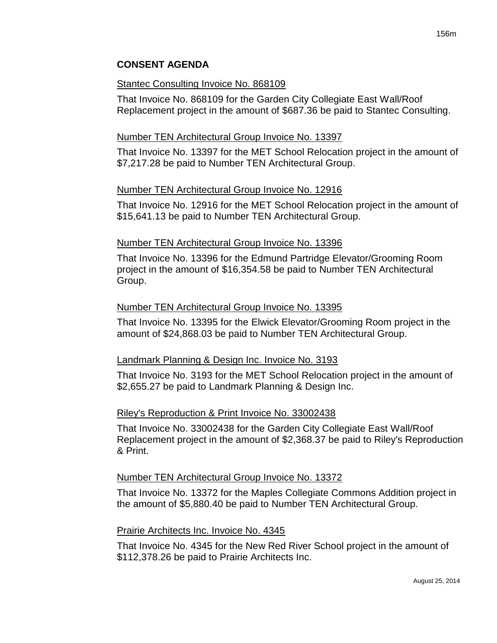### Stantec Consulting Invoice No. 868109

That Invoice No. 868109 for the Garden City Collegiate East Wall/Roof Replacement project in the amount of \$687.36 be paid to Stantec Consulting.

## Number TEN Architectural Group Invoice No. 13397

That Invoice No. 13397 for the MET School Relocation project in the amount of \$7,217.28 be paid to Number TEN Architectural Group.

### Number TEN Architectural Group Invoice No. 12916

That Invoice No. 12916 for the MET School Relocation project in the amount of \$15,641.13 be paid to Number TEN Architectural Group.

### Number TEN Architectural Group Invoice No. 13396

That Invoice No. 13396 for the Edmund Partridge Elevator/Grooming Room project in the amount of \$16,354.58 be paid to Number TEN Architectural Group.

### Number TEN Architectural Group Invoice No. 13395

That Invoice No. 13395 for the Elwick Elevator/Grooming Room project in the amount of \$24,868.03 be paid to Number TEN Architectural Group.

#### Landmark Planning & Design Inc. Invoice No. 3193

That Invoice No. 3193 for the MET School Relocation project in the amount of \$2,655.27 be paid to Landmark Planning & Design Inc.

#### Riley's Reproduction & Print Invoice No. 33002438

That Invoice No. 33002438 for the Garden City Collegiate East Wall/Roof Replacement project in the amount of \$2,368.37 be paid to Riley's Reproduction & Print.

#### Number TEN Architectural Group Invoice No. 13372

That Invoice No. 13372 for the Maples Collegiate Commons Addition project in the amount of \$5,880.40 be paid to Number TEN Architectural Group.

#### Prairie Architects Inc. Invoice No. 4345

That Invoice No. 4345 for the New Red River School project in the amount of \$112,378.26 be paid to Prairie Architects Inc.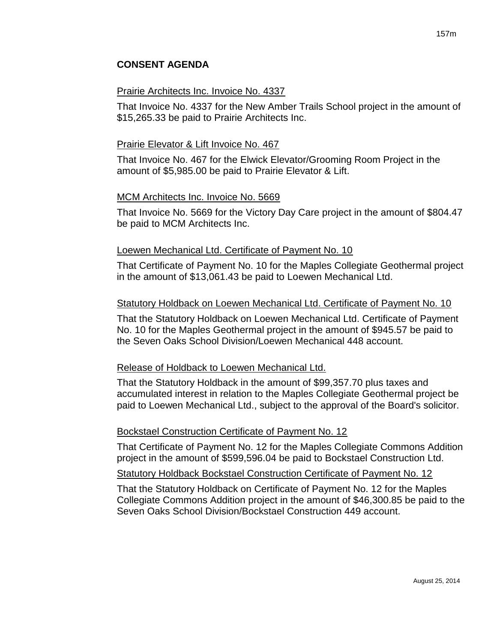#### Prairie Architects Inc. Invoice No. 4337

That Invoice No. 4337 for the New Amber Trails School project in the amount of \$15,265.33 be paid to Prairie Architects Inc.

### Prairie Elevator & Lift Invoice No. 467

That Invoice No. 467 for the Elwick Elevator/Grooming Room Project in the amount of \$5,985.00 be paid to Prairie Elevator & Lift.

### MCM Architects Inc. Invoice No. 5669

That Invoice No. 5669 for the Victory Day Care project in the amount of \$804.47 be paid to MCM Architects Inc.

#### Loewen Mechanical Ltd. Certificate of Payment No. 10

That Certificate of Payment No. 10 for the Maples Collegiate Geothermal project in the amount of \$13,061.43 be paid to Loewen Mechanical Ltd.

#### Statutory Holdback on Loewen Mechanical Ltd. Certificate of Payment No. 10

That the Statutory Holdback on Loewen Mechanical Ltd. Certificate of Payment No. 10 for the Maples Geothermal project in the amount of \$945.57 be paid to the Seven Oaks School Division/Loewen Mechanical 448 account.

#### Release of Holdback to Loewen Mechanical Ltd.

That the Statutory Holdback in the amount of \$99,357.70 plus taxes and accumulated interest in relation to the Maples Collegiate Geothermal project be paid to Loewen Mechanical Ltd., subject to the approval of the Board's solicitor.

#### Bockstael Construction Certificate of Payment No. 12

That Certificate of Payment No. 12 for the Maples Collegiate Commons Addition project in the amount of \$599,596.04 be paid to Bockstael Construction Ltd.

Statutory Holdback Bockstael Construction Certificate of Payment No. 12

That the Statutory Holdback on Certificate of Payment No. 12 for the Maples Collegiate Commons Addition project in the amount of \$46,300.85 be paid to the Seven Oaks School Division/Bockstael Construction 449 account.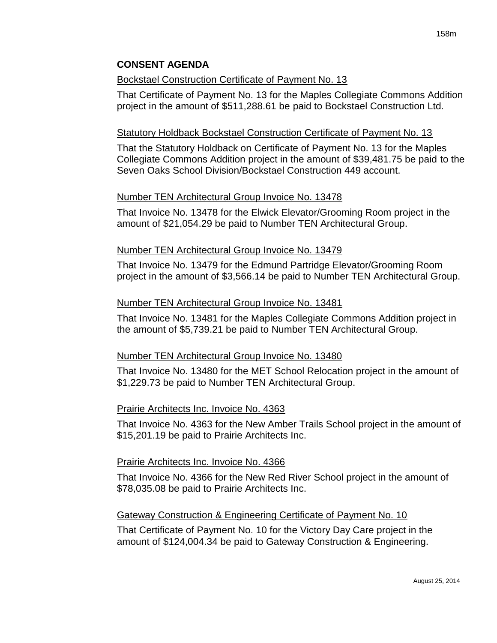### **Bockstael Construction Certificate of Payment No. 13**

That Certificate of Payment No. 13 for the Maples Collegiate Commons Addition project in the amount of \$511,288.61 be paid to Bockstael Construction Ltd.

### Statutory Holdback Bockstael Construction Certificate of Payment No. 13

That the Statutory Holdback on Certificate of Payment No. 13 for the Maples Collegiate Commons Addition project in the amount of \$39,481.75 be paid to the Seven Oaks School Division/Bockstael Construction 449 account.

### Number TEN Architectural Group Invoice No. 13478

That Invoice No. 13478 for the Elwick Elevator/Grooming Room project in the amount of \$21,054.29 be paid to Number TEN Architectural Group.

#### Number TEN Architectural Group Invoice No. 13479

That Invoice No. 13479 for the Edmund Partridge Elevator/Grooming Room project in the amount of \$3,566.14 be paid to Number TEN Architectural Group.

### Number TEN Architectural Group Invoice No. 13481

That Invoice No. 13481 for the Maples Collegiate Commons Addition project in the amount of \$5,739.21 be paid to Number TEN Architectural Group.

#### Number TEN Architectural Group Invoice No. 13480

That Invoice No. 13480 for the MET School Relocation project in the amount of \$1,229.73 be paid to Number TEN Architectural Group.

## Prairie Architects Inc. Invoice No. 4363

That Invoice No. 4363 for the New Amber Trails School project in the amount of \$15,201.19 be paid to Prairie Architects Inc.

#### Prairie Architects Inc. Invoice No. 4366

That Invoice No. 4366 for the New Red River School project in the amount of \$78,035.08 be paid to Prairie Architects Inc.

## Gateway Construction & Engineering Certificate of Payment No. 10

That Certificate of Payment No. 10 for the Victory Day Care project in the amount of \$124,004.34 be paid to Gateway Construction & Engineering.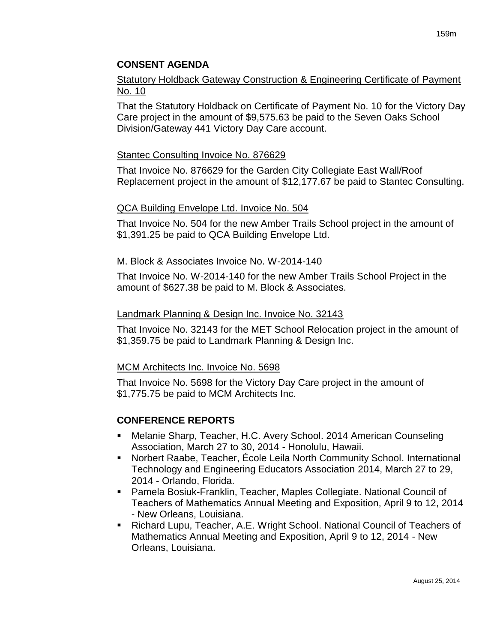## Statutory Holdback Gateway Construction & Engineering Certificate of Payment No. 10

That the Statutory Holdback on Certificate of Payment No. 10 for the Victory Day Care project in the amount of \$9,575.63 be paid to the Seven Oaks School Division/Gateway 441 Victory Day Care account.

### Stantec Consulting Invoice No. 876629

That Invoice No. 876629 for the Garden City Collegiate East Wall/Roof Replacement project in the amount of \$12,177.67 be paid to Stantec Consulting.

### QCA Building Envelope Ltd. Invoice No. 504

That Invoice No. 504 for the new Amber Trails School project in the amount of \$1,391.25 be paid to QCA Building Envelope Ltd.

#### M. Block & Associates Invoice No. W-2014-140

That Invoice No. W-2014-140 for the new Amber Trails School Project in the amount of \$627.38 be paid to M. Block & Associates.

#### Landmark Planning & Design Inc. Invoice No. 32143

That Invoice No. 32143 for the MET School Relocation project in the amount of \$1,359.75 be paid to Landmark Planning & Design Inc.

#### MCM Architects Inc. Invoice No. 5698

That Invoice No. 5698 for the Victory Day Care project in the amount of \$1,775.75 be paid to MCM Architects Inc.

## **CONFERENCE REPORTS**

- Melanie Sharp, Teacher, H.C. Avery School. 2014 American Counseling Association, March 27 to 30, 2014 - Honolulu, Hawaii.
- Norbert Raabe, Teacher, École Leila North Community School. International Technology and Engineering Educators Association 2014, March 27 to 29, 2014 - Orlando, Florida.
- Pamela Bosiuk-Franklin, Teacher, Maples Collegiate. National Council of Teachers of Mathematics Annual Meeting and Exposition, April 9 to 12, 2014 - New Orleans, Louisiana.
- Richard Lupu, Teacher, A.E. Wright School. National Council of Teachers of Mathematics Annual Meeting and Exposition, April 9 to 12, 2014 - New Orleans, Louisiana.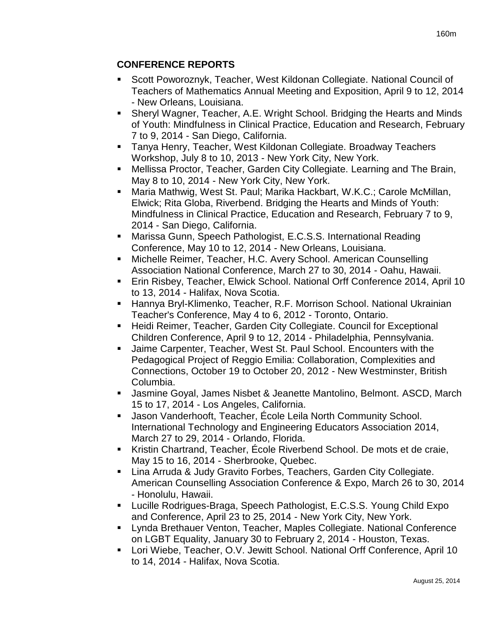# **CONFERENCE REPORTS**

- Scott Poworoznyk, Teacher, West Kildonan Collegiate. National Council of Teachers of Mathematics Annual Meeting and Exposition, April 9 to 12, 2014 - New Orleans, Louisiana.
- Sheryl Wagner, Teacher, A.E. Wright School. Bridging the Hearts and Minds of Youth: Mindfulness in Clinical Practice, Education and Research, February 7 to 9, 2014 - San Diego, California.
- Tanya Henry, Teacher, West Kildonan Collegiate. Broadway Teachers Workshop, July 8 to 10, 2013 - New York City, New York.
- Mellissa Proctor, Teacher, Garden City Collegiate. Learning and The Brain, May 8 to 10, 2014 - New York City, New York.
- Maria Mathwig, West St. Paul; Marika Hackbart, W.K.C.; Carole McMillan, Elwick; Rita Globa, Riverbend. Bridging the Hearts and Minds of Youth: Mindfulness in Clinical Practice, Education and Research, February 7 to 9, 2014 - San Diego, California.
- Marissa Gunn, Speech Pathologist, E.C.S.S. International Reading Conference, May 10 to 12, 2014 - New Orleans, Louisiana.
- Michelle Reimer, Teacher, H.C. Avery School. American Counselling Association National Conference, March 27 to 30, 2014 - Oahu, Hawaii.
- Erin Risbey, Teacher, Elwick School. National Orff Conference 2014, April 10 to 13, 2014 - Halifax, Nova Scotia.
- Hannya Bryl-Klimenko, Teacher, R.F. Morrison School. National Ukrainian Teacher's Conference, May 4 to 6, 2012 - Toronto, Ontario.
- Heidi Reimer, Teacher, Garden City Collegiate. Council for Exceptional Children Conference, April 9 to 12, 2014 - Philadelphia, Pennsylvania.
- Jaime Carpenter, Teacher, West St. Paul School. Encounters with the Pedagogical Project of Reggio Emilia: Collaboration, Complexities and Connections, October 19 to October 20, 2012 - New Westminster, British Columbia.
- Jasmine Goyal, James Nisbet & Jeanette Mantolino, Belmont. ASCD, March 15 to 17, 2014 - Los Angeles, California.
- Jason Vanderhooft, Teacher, École Leila North Community School. International Technology and Engineering Educators Association 2014, March 27 to 29, 2014 - Orlando, Florida.
- Kristin Chartrand, Teacher, École Riverbend School. De mots et de craie, May 15 to 16, 2014 - Sherbrooke, Quebec.
- Lina Arruda & Judy Gravito Forbes, Teachers, Garden City Collegiate. American Counselling Association Conference & Expo, March 26 to 30, 2014 - Honolulu, Hawaii.
- Lucille Rodrigues-Braga, Speech Pathologist, E.C.S.S. Young Child Expo and Conference, April 23 to 25, 2014 - New York City, New York.
- Lynda Brethauer Venton, Teacher, Maples Collegiate. National Conference on LGBT Equality, January 30 to February 2, 2014 - Houston, Texas.
- Lori Wiebe, Teacher, O.V. Jewitt School. National Orff Conference, April 10 to 14, 2014 - Halifax, Nova Scotia.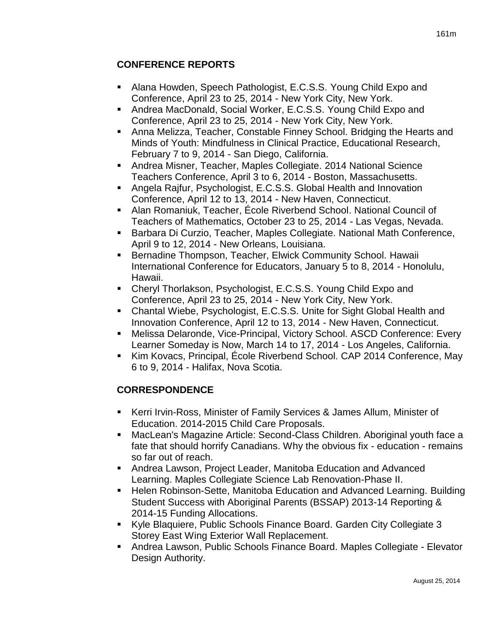# **CONFERENCE REPORTS**

- Alana Howden, Speech Pathologist, E.C.S.S. Young Child Expo and Conference, April 23 to 25, 2014 - New York City, New York.
- Andrea MacDonald, Social Worker, E.C.S.S. Young Child Expo and Conference, April 23 to 25, 2014 - New York City, New York.
- Anna Melizza, Teacher, Constable Finney School. Bridging the Hearts and Minds of Youth: Mindfulness in Clinical Practice, Educational Research, February 7 to 9, 2014 - San Diego, California.
- Andrea Misner, Teacher, Maples Collegiate. 2014 National Science Teachers Conference, April 3 to 6, 2014 - Boston, Massachusetts.
- Angela Rajfur, Psychologist, E.C.S.S. Global Health and Innovation Conference, April 12 to 13, 2014 - New Haven, Connecticut.
- Alan Romaniuk, Teacher, École Riverbend School. National Council of Teachers of Mathematics, October 23 to 25, 2014 - Las Vegas, Nevada.
- Barbara Di Curzio, Teacher, Maples Collegiate. National Math Conference, April 9 to 12, 2014 - New Orleans, Louisiana.
- **Bernadine Thompson, Teacher, Elwick Community School. Hawaii** International Conference for Educators, January 5 to 8, 2014 - Honolulu, Hawaii.
- Cheryl Thorlakson, Psychologist, E.C.S.S. Young Child Expo and Conference, April 23 to 25, 2014 - New York City, New York.
- Chantal Wiebe, Psychologist, E.C.S.S. Unite for Sight Global Health and Innovation Conference, April 12 to 13, 2014 - New Haven, Connecticut.
- Melissa Delaronde, Vice-Principal, Victory School. ASCD Conference: Every Learner Someday is Now, March 14 to 17, 2014 - Los Angeles, California.
- Kim Kovacs, Principal, École Riverbend School. CAP 2014 Conference, May 6 to 9, 2014 - Halifax, Nova Scotia.

# **CORRESPONDENCE**

- Kerri Irvin-Ross, Minister of Family Services & James Allum, Minister of Education. 2014-2015 Child Care Proposals.
- MacLean's Magazine Article: Second-Class Children. Aboriginal youth face a fate that should horrify Canadians. Why the obvious fix - education - remains so far out of reach.
- Andrea Lawson, Project Leader, Manitoba Education and Advanced Learning. Maples Collegiate Science Lab Renovation-Phase II.
- Helen Robinson-Sette, Manitoba Education and Advanced Learning. Building Student Success with Aboriginal Parents (BSSAP) 2013-14 Reporting & 2014-15 Funding Allocations.
- Kyle Blaquiere, Public Schools Finance Board. Garden City Collegiate 3 Storey East Wing Exterior Wall Replacement.
- Andrea Lawson, Public Schools Finance Board. Maples Collegiate Elevator Design Authority.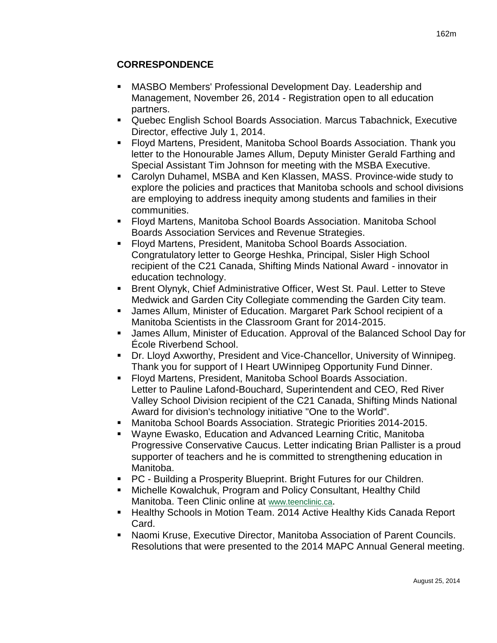- MASBO Members' Professional Development Day. Leadership and Management, November 26, 2014 - Registration open to all education partners.
- Quebec English School Boards Association. Marcus Tabachnick, Executive Director, effective July 1, 2014.
- Floyd Martens, President, Manitoba School Boards Association. Thank you letter to the Honourable James Allum, Deputy Minister Gerald Farthing and Special Assistant Tim Johnson for meeting with the MSBA Executive.
- Carolyn Duhamel, MSBA and Ken Klassen, MASS. Province-wide study to explore the policies and practices that Manitoba schools and school divisions are employing to address inequity among students and families in their communities.
- Floyd Martens, Manitoba School Boards Association. Manitoba School Boards Association Services and Revenue Strategies.
- Floyd Martens, President, Manitoba School Boards Association. Congratulatory letter to George Heshka, Principal, Sisler High School recipient of the C21 Canada, Shifting Minds National Award - innovator in education technology.
- **Brent Olynyk, Chief Administrative Officer, West St. Paul. Letter to Steve** Medwick and Garden City Collegiate commending the Garden City team.
- James Allum, Minister of Education. Margaret Park School recipient of a Manitoba Scientists in the Classroom Grant for 2014-2015.
- James Allum, Minister of Education. Approval of the Balanced School Day for École Riverbend School.
- Dr. Lloyd Axworthy, President and Vice-Chancellor, University of Winnipeg. Thank you for support of I Heart UWinnipeg Opportunity Fund Dinner.
- Floyd Martens, President, Manitoba School Boards Association. Letter to Pauline Lafond-Bouchard, Superintendent and CEO, Red River Valley School Division recipient of the C21 Canada, Shifting Minds National Award for division's technology initiative "One to the World".
- Manitoba School Boards Association. Strategic Priorities 2014-2015.
- Wayne Ewasko, Education and Advanced Learning Critic, Manitoba Progressive Conservative Caucus. Letter indicating Brian Pallister is a proud supporter of teachers and he is committed to strengthening education in Manitoba.
- PC Building a Prosperity Blueprint. Bright Futures for our Children.
- Michelle Kowalchuk, Program and Policy Consultant, Healthy Child Manitoba. Teen Clinic online at [www.teenclinic.ca](http://www.teenclinic.ca/).
- Healthy Schools in Motion Team. 2014 Active Healthy Kids Canada Report Card.
- Naomi Kruse, Executive Director, Manitoba Association of Parent Councils. Resolutions that were presented to the 2014 MAPC Annual General meeting.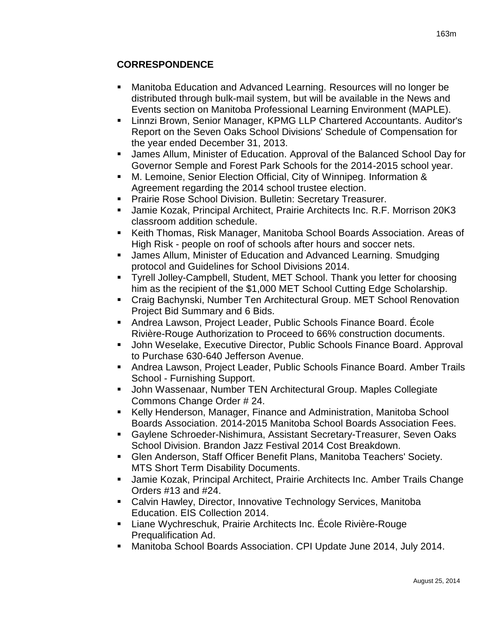# **CORRESPONDENCE**

- Manitoba Education and Advanced Learning. Resources will no longer be distributed through bulk-mail system, but will be available in the News and Events section on Manitoba Professional Learning Environment (MAPLE).
- Linnzi Brown, Senior Manager, KPMG LLP Chartered Accountants. Auditor's Report on the Seven Oaks School Divisions' Schedule of Compensation for the year ended December 31, 2013.
- James Allum, Minister of Education. Approval of the Balanced School Day for Governor Semple and Forest Park Schools for the 2014-2015 school year.
- M. Lemoine, Senior Election Official, City of Winnipeg. Information & Agreement regarding the 2014 school trustee election.
- **Prairie Rose School Division. Bulletin: Secretary Treasurer.**
- Jamie Kozak, Principal Architect, Prairie Architects Inc. R.F. Morrison 20K3 classroom addition schedule.
- Keith Thomas, Risk Manager, Manitoba School Boards Association. Areas of High Risk - people on roof of schools after hours and soccer nets.
- James Allum, Minister of Education and Advanced Learning. Smudging protocol and Guidelines for School Divisions 2014.
- Tyrell Jolley-Campbell, Student, MET School. Thank you letter for choosing him as the recipient of the \$1,000 MET School Cutting Edge Scholarship.
- Craig Bachynski, Number Ten Architectural Group. MET School Renovation Project Bid Summary and 6 Bids.
- Andrea Lawson, Project Leader, Public Schools Finance Board. École Rivière-Rouge Authorization to Proceed to 66% construction documents.
- **John Weselake, Executive Director, Public Schools Finance Board. Approval** to Purchase 630-640 Jefferson Avenue.
- Andrea Lawson, Project Leader, Public Schools Finance Board. Amber Trails School - Furnishing Support.
- John Wassenaar, Number TEN Architectural Group. Maples Collegiate Commons Change Order # 24.
- Kelly Henderson, Manager, Finance and Administration, Manitoba School Boards Association. 2014-2015 Manitoba School Boards Association Fees.
- Gaylene Schroeder-Nishimura, Assistant Secretary-Treasurer, Seven Oaks School Division. Brandon Jazz Festival 2014 Cost Breakdown.
- Glen Anderson, Staff Officer Benefit Plans, Manitoba Teachers' Society. MTS Short Term Disability Documents.
- Jamie Kozak, Principal Architect, Prairie Architects Inc. Amber Trails Change Orders #13 and #24.
- Calvin Hawley, Director, Innovative Technology Services, Manitoba Education. EIS Collection 2014.
- Liane Wychreschuk, Prairie Architects Inc. École Rivière-Rouge Prequalification Ad.
- Manitoba School Boards Association. CPI Update June 2014, July 2014.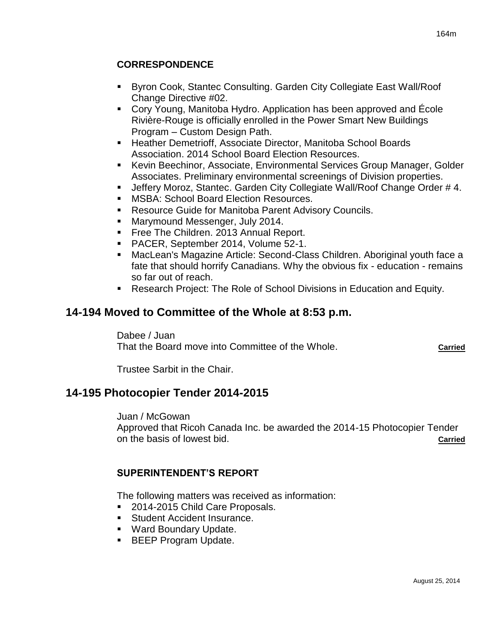## **CORRESPONDENCE**

- Byron Cook, Stantec Consulting. Garden City Collegiate East Wall/Roof Change Directive #02.
- Cory Young, Manitoba Hydro. Application has been approved and École Rivière-Rouge is officially enrolled in the Power Smart New Buildings Program – Custom Design Path.
- **EXTERT** Heather Demetrioff, Associate Director, Manitoba School Boards Association. 2014 School Board Election Resources.
- Kevin Beechinor, Associate, Environmental Services Group Manager, Golder Associates. Preliminary environmental screenings of Division properties.
- Jeffery Moroz, Stantec. Garden City Collegiate Wall/Roof Change Order # 4.
- **MSBA: School Board Election Resources.**
- **Resource Guide for Manitoba Parent Advisory Councils.**
- **Marymound Messenger, July 2014.**
- **Free The Children. 2013 Annual Report.**
- PACER, September 2014, Volume 52-1.
- MacLean's Magazine Article: Second-Class Children. Aboriginal youth face a fate that should horrify Canadians. Why the obvious fix - education - remains so far out of reach.
- Research Project: The Role of School Divisions in Education and Equity.

# **14-194 Moved to Committee of the Whole at 8:53 p.m.**

Dabee / Juan That the Board move into Committee of the Whole. **Carried**

Trustee Sarbit in the Chair.

# **14-195 Photocopier Tender 2014-2015**

Juan / McGowan Approved that Ricoh Canada Inc. be awarded the 2014-15 Photocopier Tender on the basis of lowest bid. **Carried**

## **SUPERINTENDENT'S REPORT**

The following matters was received as information:

- 2014-2015 Child Care Proposals.
- **Student Accident Insurance.**
- Ward Boundary Update.
- **BEEP Program Update.**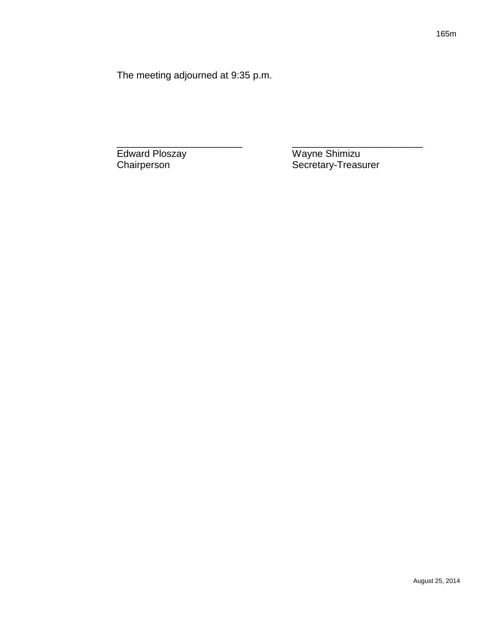The meeting adjourned at 9:35 p.m.

Edward Ploszay Wayne Shimizu<br>Chairperson Secretary-Treas Secretary-Treasurer

\_\_\_\_\_\_\_\_\_\_\_\_\_\_\_\_\_\_\_\_\_\_\_ \_\_\_\_\_\_\_\_\_\_\_\_\_\_\_\_\_\_\_\_\_\_\_\_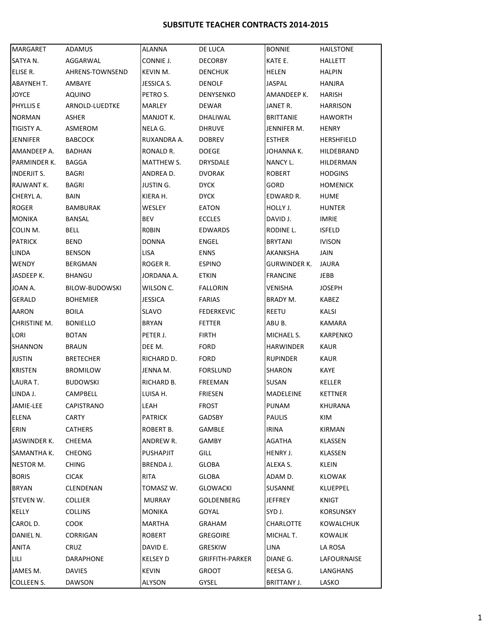#### **SUBSITUTE TEACHER CONTRACTS 2014-2015**

| MARGARET           | ADAMUS           | <b>ALANNA</b>    | DE LUCA           | <b>BONNIE</b>    | <b>HAILSTONE</b> |
|--------------------|------------------|------------------|-------------------|------------------|------------------|
| SATYA N.           | AGGARWAL         | CONNIE J.        | DECORBY           | KATE E.          | HALLETT          |
| ELISE R.           | AHRENS-TOWNSEND  | KEVIN M.         | <b>DENCHUK</b>    | <b>HELEN</b>     | <b>HALPIN</b>    |
| ABAYNEH T.         | AMBAYE           | JESSICA S.       | <b>DENOLF</b>     | JASPAL           | HANJRA           |
| <b>JOYCE</b>       | AQUINO           | PETRO S.         | DENYSENKO         | AMANDEEP K.      | HARISH           |
| PHYLLIS E          | ARNOLD-LUEDTKE   | <b>MARLEY</b>    | DEWAR             | JANET R.         | <b>HARRISON</b>  |
| <b>NORMAN</b>      | ASHER            | MANJOT K.        | DHALIWAL          | <b>BRITTANIE</b> | <b>HAWORTH</b>   |
| TIGISTY A.         | ASMEROM          | NELA G.          | <b>DHRUVE</b>     | JENNIFER M.      | <b>HENRY</b>     |
| <b>JENNIFER</b>    | <b>BABCOCK</b>   | RUXANDRA A.      | <b>DOBREV</b>     | <b>ESTHER</b>    | HERSHFIELD       |
| AMANDEEP A.        | BADHAN           | RONALD R.        | <b>DOEGE</b>      | JOHANNA K.       | HILDEBRAND       |
| PARMINDER K.       | BAGGA            | MATTHEW S.       | DRYSDALE          | NANCY L.         | HILDERMAN        |
| <b>INDERJIT S.</b> | BAGRI            | ANDREA D.        | <b>DVORAK</b>     | ROBERT           | <b>HODGINS</b>   |
| RAJWANT K.         | BAGRI            | <b>JUSTING.</b>  | <b>DACK</b>       | GORD             | <b>HOMENICK</b>  |
| CHERYL A.          | <b>BAIN</b>      | KIERA H.         | <b>DACK</b>       | EDWARD R.        | HUME             |
| <b>ROGER</b>       | <b>BAMBURAK</b>  | WESLEY           | EATON             | HOLLY J.         | <b>HUNTER</b>    |
| <b>MONIKA</b>      | BANSAL           | BEV              | <b>ECCLES</b>     | DAVID J.         | <b>IMRIE</b>     |
| COLIN M.           | BELL             | <b>ROBIN</b>     | EDWARDS           | RODINE L.        | <b>ISFELD</b>    |
| <b>PATRICK</b>     | <b>BEND</b>      | <b>DONNA</b>     | ENGEL             | <b>BRYTANI</b>   | <b>IVISON</b>    |
| LINDA              | <b>BENSON</b>    | LISA             | <b>ENNS</b>       | AKANKSHA         | JAIN             |
| <b>WENDY</b>       | BERGMAN          | ROGER R.         | <b>ESPINO</b>     | GURWINDER K.     | JAURA            |
| JASDEEP K.         | <b>BHANGU</b>    | JORDANA A.       | ETKIN             | <b>FRANCINE</b>  | JEBB             |
| JOAN A.            | BILOW-BUDOWSKI   | WILSON C.        | <b>FALLORIN</b>   | VENISHA          | <b>JOSEPH</b>    |
| GERALD             | <b>BOHEMIER</b>  | <b>JESSICA</b>   | <b>FARIAS</b>     | BRADY M.         | KABEZ            |
| AARON              | BOILA            | <b>SLAVO</b>     | <b>FEDERKEVIC</b> | REETU            | KALSI            |
| CHRISTINE M.       | <b>BONIELLO</b>  | BRYAN            | <b>FETTER</b>     | ABU B.           | KAMARA           |
| LORI               | <b>BOTAN</b>     | PETER J.         | <b>FIRTH</b>      | MICHAEL S.       | <b>KARPENKO</b>  |
| SHANNON            | <b>BRAUN</b>     | DEE M.           | <b>FORD</b>       | HARWINDER        | <b>KAUR</b>      |
| <b>JUSTIN</b>      | <b>BRETECHER</b> | RICHARD D.       | <b>FORD</b>       | <b>RUPINDER</b>  | KAUR             |
| <b>KRISTEN</b>     | <b>BROMILOW</b>  | JENNA M.         | <b>FORSLUND</b>   | <b>SHARON</b>    | KAYE             |
| LAURA T.           | <b>BUDOWSKI</b>  | RICHARD B.       | FREEMAN           | SUSAN            | KELLER           |
| LINDA J.           | CAMPBELL         | LUISA H.         | <b>FRIESEN</b>    | <b>MADELEINE</b> | <b>KETTNER</b>   |
| JAMIE-LEE          | CAPISTRANO       | LEAH             | <b>FROST</b>      | PUNAM            | KHURANA          |
| ELENA              | CARTY            | <b>PATRICK</b>   | GADSBY            | PAULIS           | KIM              |
| ERIN               | CATHERS          | ROBERT B.        | GAMBLE            | <b>IRINA</b>     | <b>KIRMAN</b>    |
| JASWINDER K.       | CHEEMA           | ANDREW R.        | <b>GAMBY</b>      | AGATHA           | KLASSEN          |
| SAMANTHA K.        | <b>CHEONG</b>    | <b>PUSHAPJIT</b> | <b>GILL</b>       | HENRY J.         | KLASSEN          |
| NESTOR M.          | <b>CHING</b>     | BRENDA J.        | GLOBA             | ALEXA S.         | KLEIN            |
| <b>BORIS</b>       | <b>CICAK</b>     | <b>RITA</b>      | GLOBA             | ADAM D.          | KLOWAK           |
| <b>BRYAN</b>       | CLENDENAN        | TOMASZ W.        | <b>GLOWACKI</b>   | SUSANNE          | KLUEPPEL         |
| STEVEN W.          | <b>COLLIER</b>   | <b>MURRAY</b>    | <b>GOLDENBERG</b> | <b>JEFFREY</b>   | KNIGT            |
| KELLY              | <b>COLLINS</b>   | <b>MONIKA</b>    | GOYAL             | SYD J.           | <b>KORSUNSKY</b> |
|                    |                  |                  |                   |                  |                  |
| CAROL D.           | COOK             | <b>MARTHA</b>    | GRAHAM            | CHARLOTTE        | KOWALCHUK        |
| DANIEL N.          | CORRIGAN         | ROBERT           | <b>GREGOIRE</b>   | MICHAL T.        | <b>KOWALIK</b>   |
| <b>ANITA</b>       | <b>CRUZ</b>      | DAVID E.         | GRESKIW           | LINA             | LA ROSA          |
| LILI               | DARAPHONE        | KELSEY D         | GRIFFITH-PARKER   | DIANE G.         | LAFOURNAISE      |
| JAMES M.           | <b>DAVIES</b>    | <b>KEVIN</b>     | GROOT             | REESA G.         | LANGHANS         |
| COLLEEN S.         | DAWSON           | ALYSON           | GYSEL             | BRITTANY J.      | LASKO            |